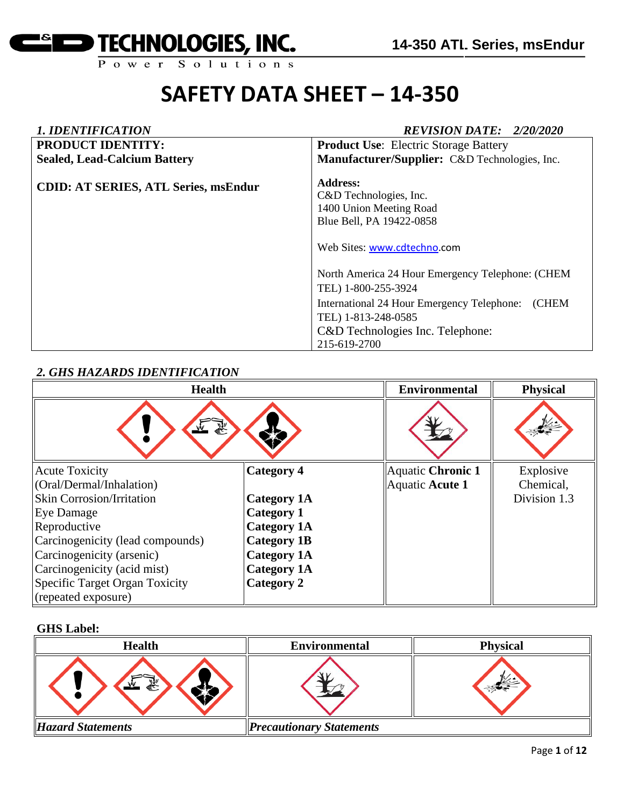

| <b>1. IDENTIFICATION</b>                    | <b>REVISION DATE: 2/20/2020</b>                                                                                                                                                                                                                                                                                                       |
|---------------------------------------------|---------------------------------------------------------------------------------------------------------------------------------------------------------------------------------------------------------------------------------------------------------------------------------------------------------------------------------------|
| <b>PRODUCT IDENTITY:</b>                    | <b>Product Use:</b> Electric Storage Battery                                                                                                                                                                                                                                                                                          |
| <b>Sealed, Lead-Calcium Battery</b>         | Manufacturer/Supplier: C&D Technologies, Inc.                                                                                                                                                                                                                                                                                         |
| <b>CDID: AT SERIES, ATL Series, msEndur</b> | Address:<br>C&D Technologies, Inc.<br>1400 Union Meeting Road<br>Blue Bell, PA 19422-0858<br>Web Sites: www.cdtechno.com<br>North America 24 Hour Emergency Telephone: (CHEM<br>TEL) 1-800-255-3924<br>(CHEM<br>International 24 Hour Emergency Telephone:<br>TEL) 1-813-248-0585<br>C&D Technologies Inc. Telephone:<br>215-619-2700 |

### *2. GHS HAZARDS IDENTIFICATION*

| <b>Health</b>                    |                    | <b>Environmental</b> | <b>Physical</b> |
|----------------------------------|--------------------|----------------------|-----------------|
|                                  |                    |                      |                 |
| <b>Acute Toxicity</b>            | <b>Category 4</b>  | Aquatic Chronic 1    | Explosive       |
| (Oral/Dermal/Inhalation)         |                    | Aquatic Acute 1      | Chemical,       |
| <b>Skin Corrosion/Irritation</b> | <b>Category 1A</b> |                      | Division 1.3    |
| Eye Damage                       | <b>Category 1</b>  |                      |                 |
| Reproductive                     | <b>Category 1A</b> |                      |                 |
| Carcinogenicity (lead compounds) | <b>Category 1B</b> |                      |                 |
| Carcinogenicity (arsenic)        | <b>Category 1A</b> |                      |                 |
| Carcinogenicity (acid mist)      | <b>Category 1A</b> |                      |                 |
| Specific Target Organ Toxicity   | Category 2         |                      |                 |
| (repeated exposure)              |                    |                      |                 |

#### **GHS Label:**

| <b>Health</b>            | <b>Environmental</b>            | <b>Physical</b> |
|--------------------------|---------------------------------|-----------------|
| 豪                        |                                 |                 |
| <b>Hazard Statements</b> | <b>Precautionary Statements</b> |                 |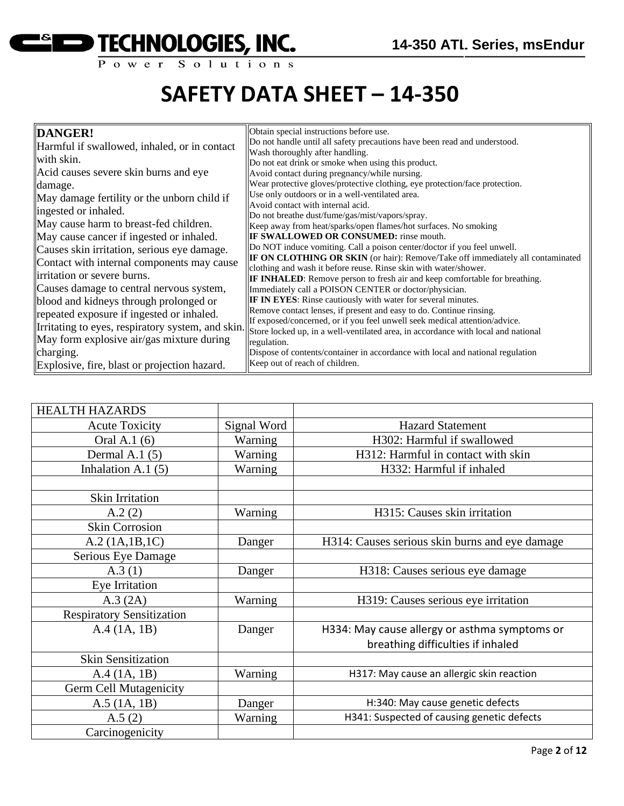

| DANGER!                                           | Obtain special instructions before use.                                                                                                           |
|---------------------------------------------------|---------------------------------------------------------------------------------------------------------------------------------------------------|
| Harmful if swallowed, inhaled, or in contact      | Do not handle until all safety precautions have been read and understood.                                                                         |
| with skin.                                        | Wash thoroughly after handling.                                                                                                                   |
| Acid causes severe skin burns and eye             | Do not eat drink or smoke when using this product.                                                                                                |
|                                                   | Avoid contact during pregnancy/while nursing.                                                                                                     |
| damage.                                           | Wear protective gloves/protective clothing, eye protection/face protection.<br>Use only outdoors or in a well-ventilated area.                    |
| May damage fertility or the unborn child if       | Avoid contact with internal acid.                                                                                                                 |
| ingested or inhaled.                              | Do not breathe dust/fume/gas/mist/vapors/spray.                                                                                                   |
| May cause harm to breast-fed children.            | Keep away from heat/sparks/open flames/hot surfaces. No smoking                                                                                   |
| May cause cancer if ingested or inhaled.          | <b>IF SWALLOWED OR CONSUMED:</b> rinse mouth.                                                                                                     |
| Causes skin irritation, serious eye damage.       | Do NOT induce vomiting. Call a poison center/doctor if you feel unwell.                                                                           |
| Contact with internal components may cause        | <b>IF ON CLOTHING OR SKIN</b> (or hair): Remove/Take off immediately all contaminated                                                             |
| irritation or severe burns.                       | clothing and wash it before reuse. Rinse skin with water/shower.                                                                                  |
|                                                   | <b>IF INHALED:</b> Remove person to fresh air and keep comfortable for breathing.                                                                 |
| Causes damage to central nervous system,          | Immediately call a POISON CENTER or doctor/physician.                                                                                             |
| blood and kidneys through prolonged or            | IF IN EYES: Rinse cautiously with water for several minutes.                                                                                      |
| repeated exposure if ingested or inhaled.         | Remove contact lenses, if present and easy to do. Continue rinsing.<br>If exposed/concerned, or if you feel unwell seek medical attention/advice. |
| Irritating to eyes, respiratory system, and skin. | Store locked up, in a well-ventilated area, in accordance with local and national                                                                 |
| May form explosive air/gas mixture during         | regulation.                                                                                                                                       |
| charging.                                         | Dispose of contents/container in accordance with local and national regulation                                                                    |
| Explosive, fire, blast or projection hazard.      | Keep out of reach of children.                                                                                                                    |

| <b>HEALTH HAZARDS</b>            |             |                                                |
|----------------------------------|-------------|------------------------------------------------|
| <b>Acute Toxicity</b>            | Signal Word | <b>Hazard Statement</b>                        |
| Oral A.1 (6)                     | Warning     | H302: Harmful if swallowed                     |
| Dermal A.1 $(5)$                 | Warning     | H312: Harmful in contact with skin             |
| Inhalation A.1 $(5)$             | Warning     | H332: Harmful if inhaled                       |
|                                  |             |                                                |
| Skin Irritation                  |             |                                                |
| A.2(2)                           | Warning     | H315: Causes skin irritation                   |
| <b>Skin Corrosion</b>            |             |                                                |
| A.2 (1A.1B.1C)                   | Danger      | H314: Causes serious skin burns and eye damage |
| Serious Eye Damage               |             |                                                |
| A.3(1)                           | Danger      | H318: Causes serious eye damage                |
| Eye Irritation                   |             |                                                |
| A.3 (2A)                         | Warning     | H319: Causes serious eye irritation            |
| <b>Respiratory Sensitization</b> |             |                                                |
| A.4 (1A, 1B)                     | Danger      | H334: May cause allergy or asthma symptoms or  |
|                                  |             | breathing difficulties if inhaled              |
| <b>Skin Sensitization</b>        |             |                                                |
| A.4 (1A, 1B)                     | Warning     | H317: May cause an allergic skin reaction      |
| <b>Germ Cell Mutagenicity</b>    |             |                                                |
| $A.5$ (1A, 1B)                   | Danger      | H:340: May cause genetic defects               |
| A.5(2)                           | Warning     | H341: Suspected of causing genetic defects     |
| Carcinogenicity                  |             |                                                |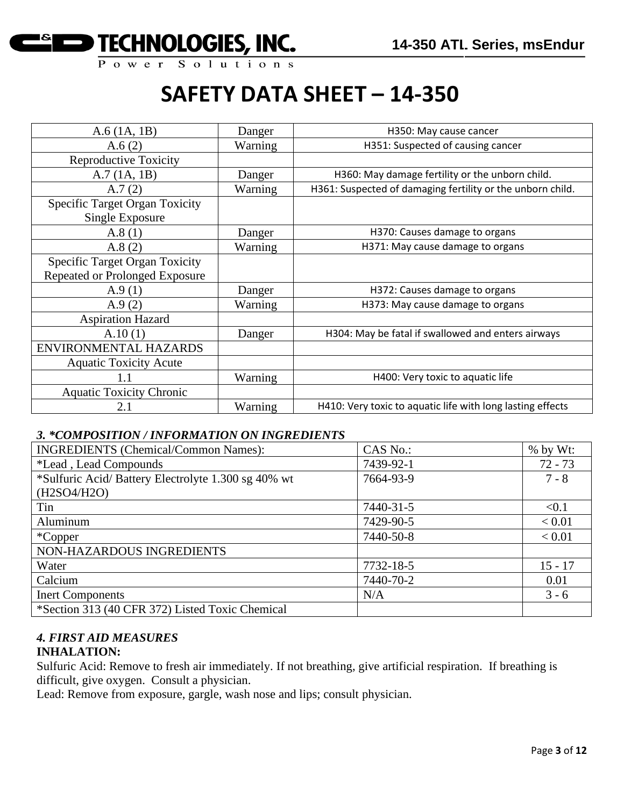

| $A.6$ (1A, 1B)                                           | Danger  | H350: May cause cancer                                     |
|----------------------------------------------------------|---------|------------------------------------------------------------|
| A.6(2)                                                   | Warning | H351: Suspected of causing cancer                          |
| <b>Reproductive Toxicity</b>                             |         |                                                            |
| A.7(1A, 1B)                                              | Danger  | H360: May damage fertility or the unborn child.            |
| A.7(2)                                                   | Warning | H361: Suspected of damaging fertility or the unborn child. |
| <b>Specific Target Organ Toxicity</b><br>Single Exposure |         |                                                            |
| A.8(1)                                                   | Danger  | H370: Causes damage to organs                              |
| A.8(2)                                                   | Warning | H371: May cause damage to organs                           |
| <b>Specific Target Organ Toxicity</b>                    |         |                                                            |
| Repeated or Prolonged Exposure                           |         |                                                            |
| A.9(1)                                                   | Danger  | H372: Causes damage to organs                              |
| A.9(2)                                                   | Warning | H373: May cause damage to organs                           |
| <b>Aspiration Hazard</b>                                 |         |                                                            |
| A.10(1)                                                  | Danger  | H304: May be fatal if swallowed and enters airways         |
| ENVIRONMENTAL HAZARDS                                    |         |                                                            |
| <b>Aquatic Toxicity Acute</b>                            |         |                                                            |
| 1.1                                                      | Warning | H400: Very toxic to aquatic life                           |
| <b>Aquatic Toxicity Chronic</b>                          |         |                                                            |
| 2.1                                                      | Warning | H410: Very toxic to aquatic life with long lasting effects |

#### *3. \*COMPOSITION / INFORMATION ON INGREDIENTS*

| <b>INGREDIENTS</b> (Chemical/Common Names):        | CAS No.:  | $%$ by Wt: |
|----------------------------------------------------|-----------|------------|
| <i>*Lead</i> , Lead Compounds                      | 7439-92-1 | $72 - 73$  |
| *Sulfuric Acid/Battery Electrolyte 1.300 sg 40% wt | 7664-93-9 | $7 - 8$    |
| (H2SO4/H2O)                                        |           |            |
| Tin                                                | 7440-31-5 | < 0.1      |
| Aluminum                                           | 7429-90-5 | < 0.01     |
| *Copper                                            | 7440-50-8 | < 0.01     |
| NON-HAZARDOUS INGREDIENTS                          |           |            |
| Water                                              | 7732-18-5 | $15 - 17$  |
| Calcium                                            | 7440-70-2 | 0.01       |
| <b>Inert Components</b>                            | N/A       | $3 - 6$    |
| *Section 313 (40 CFR 372) Listed Toxic Chemical    |           |            |

### *4. FIRST AID MEASURES*

#### **INHALATION:**

Sulfuric Acid: Remove to fresh air immediately. If not breathing, give artificial respiration. If breathing is difficult, give oxygen. Consult a physician.

Lead: Remove from exposure, gargle, wash nose and lips; consult physician.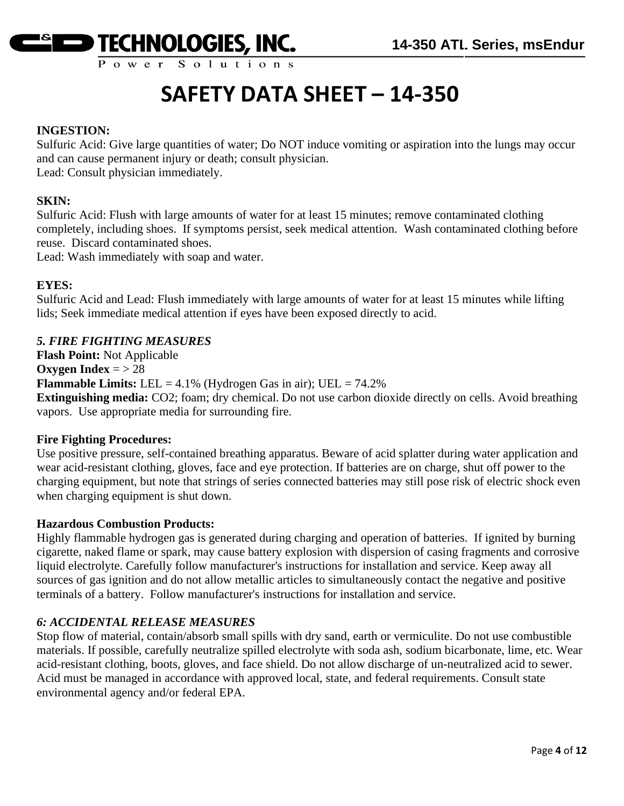

Power Solutions

## **SAFETY DATA SHEET – 14-350**

#### **INGESTION:**

Sulfuric Acid: Give large quantities of water; Do NOT induce vomiting or aspiration into the lungs may occur and can cause permanent injury or death; consult physician.

Lead: Consult physician immediately.

#### **SKIN:**

Sulfuric Acid: Flush with large amounts of water for at least 15 minutes; remove contaminated clothing completely, including shoes. If symptoms persist, seek medical attention. Wash contaminated clothing before reuse. Discard contaminated shoes.

Lead: Wash immediately with soap and water.

#### **EYES:**

Sulfuric Acid and Lead: Flush immediately with large amounts of water for at least 15 minutes while lifting lids; Seek immediate medical attention if eyes have been exposed directly to acid.

#### *5. FIRE FIGHTING MEASURES*

**Flash Point:** Not Applicable **Oxygen Index** =  $> 28$ **Flammable Limits:** LEL = 4.1% (Hydrogen Gas in air); UEL = 74.2% **Extinguishing media:** CO2; foam; dry chemical. Do not use carbon dioxide directly on cells. Avoid breathing vapors. Use appropriate media for surrounding fire.

#### **Fire Fighting Procedures:**

Use positive pressure, self-contained breathing apparatus. Beware of acid splatter during water application and wear acid-resistant clothing, gloves, face and eye protection. If batteries are on charge, shut off power to the charging equipment, but note that strings of series connected batteries may still pose risk of electric shock even when charging equipment is shut down.

#### **Hazardous Combustion Products:**

Highly flammable hydrogen gas is generated during charging and operation of batteries. If ignited by burning cigarette, naked flame or spark, may cause battery explosion with dispersion of casing fragments and corrosive liquid electrolyte. Carefully follow manufacturer's instructions for installation and service. Keep away all sources of gas ignition and do not allow metallic articles to simultaneously contact the negative and positive terminals of a battery. Follow manufacturer's instructions for installation and service.

#### *6: ACCIDENTAL RELEASE MEASURES*

Stop flow of material, contain/absorb small spills with dry sand, earth or vermiculite. Do not use combustible materials. If possible, carefully neutralize spilled electrolyte with soda ash, sodium bicarbonate, lime, etc. Wear acid-resistant clothing, boots, gloves, and face shield. Do not allow discharge of un-neutralized acid to sewer. Acid must be managed in accordance with approved local, state, and federal requirements. Consult state environmental agency and/or federal EPA.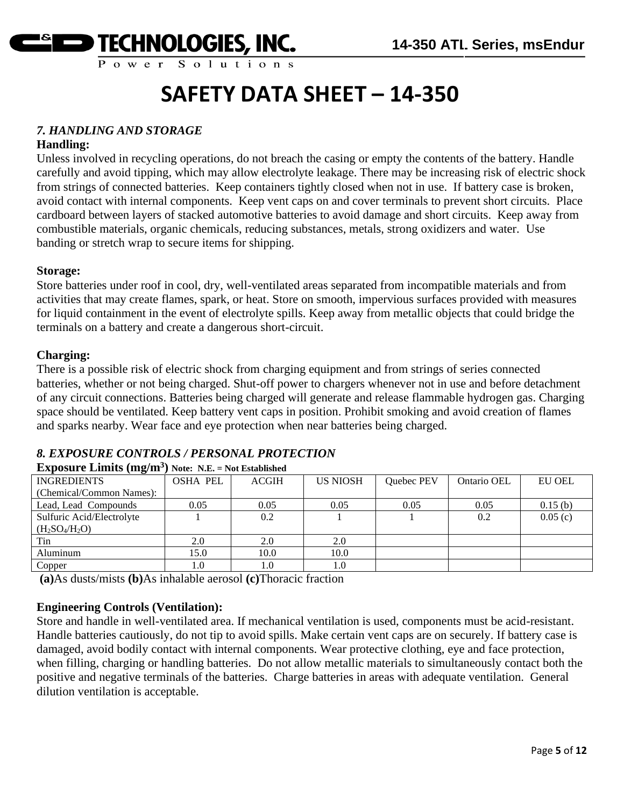

#### *7. HANDLING AND STORAGE*

#### **Handling:**

Unless involved in recycling operations, do not breach the casing or empty the contents of the battery. Handle carefully and avoid tipping, which may allow electrolyte leakage. There may be increasing risk of electric shock from strings of connected batteries. Keep containers tightly closed when not in use. If battery case is broken, avoid contact with internal components. Keep vent caps on and cover terminals to prevent short circuits. Place cardboard between layers of stacked automotive batteries to avoid damage and short circuits. Keep away from combustible materials, organic chemicals, reducing substances, metals, strong oxidizers and water. Use banding or stretch wrap to secure items for shipping.

#### **Storage:**

Store batteries under roof in cool, dry, well-ventilated areas separated from incompatible materials and from activities that may create flames, spark, or heat. Store on smooth, impervious surfaces provided with measures for liquid containment in the event of electrolyte spills. Keep away from metallic objects that could bridge the terminals on a battery and create a dangerous short-circuit.

#### **Charging:**

There is a possible risk of electric shock from charging equipment and from strings of series connected batteries, whether or not being charged. Shut-off power to chargers whenever not in use and before detachment of any circuit connections. Batteries being charged will generate and release flammable hydrogen gas. Charging space should be ventilated. Keep battery vent caps in position. Prohibit smoking and avoid creation of flames and sparks nearby. Wear face and eye protection when near batteries being charged.

#### **Exposure Limits (mg/m<sup>3</sup> ) Note: N.E. = Not Established** INGREDIENTS (Chemical/Common Names): OSHA PEL ACGIH US NIOSH Quebec PEV Ontario OEL EU OEL Lead, Lead Compounds 0.05 0.05 0.05 0.05 0.05 0.05 0.05 0.15 (b) Sulfuric Acid/Electrolyte  $(H_2SO_4/H_2O)$ 1 0.2 1 1 0.2 0.05 (c) Tin 2.0 2.0 2.0 2.0 Aluminum 15.0 10.0 10.0 Copper 1.0 1.0 1.0 1.0

#### *8. EXPOSURE CONTROLS / PERSONAL PROTECTION*

**(a)**As dusts/mists **(b)**As inhalable aerosol **(c)**Thoracic fraction

#### **Engineering Controls (Ventilation):**

Store and handle in well-ventilated area. If mechanical ventilation is used, components must be acid-resistant. Handle batteries cautiously, do not tip to avoid spills. Make certain vent caps are on securely. If battery case is damaged, avoid bodily contact with internal components. Wear protective clothing, eye and face protection, when filling, charging or handling batteries. Do not allow metallic materials to simultaneously contact both the positive and negative terminals of the batteries. Charge batteries in areas with adequate ventilation. General dilution ventilation is acceptable.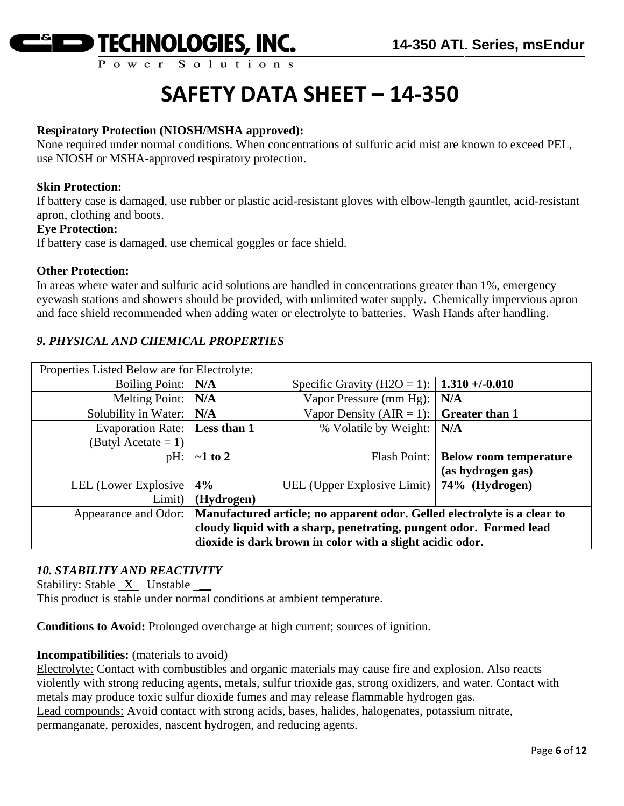

#### **Respiratory Protection (NIOSH/MSHA approved):**

None required under normal conditions. When concentrations of sulfuric acid mist are known to exceed PEL, use NIOSH or MSHA-approved respiratory protection.

#### **Skin Protection:**

If battery case is damaged, use rubber or plastic acid-resistant gloves with elbow-length gauntlet, acid-resistant apron, clothing and boots.

#### **Eye Protection:**

If battery case is damaged, use chemical goggles or face shield.

#### **Other Protection:**

In areas where water and sulfuric acid solutions are handled in concentrations greater than 1%, emergency eyewash stations and showers should be provided, with unlimited water supply. Chemically impervious apron and face shield recommended when adding water or electrolyte to batteries. Wash Hands after handling.

#### *9. PHYSICAL AND CHEMICAL PROPERTIES*

| Properties Listed Below are for Electrolyte:                                                     |               |                                              |                               |
|--------------------------------------------------------------------------------------------------|---------------|----------------------------------------------|-------------------------------|
| Boiling Point:                                                                                   | N/A           | Specific Gravity (H2O = 1):                  | $1.310 + (-0.010$             |
| <b>Melting Point:</b>                                                                            | N/A           | Vapor Pressure (mm Hg):                      | N/A                           |
| Solubility in Water:                                                                             | N/A           | Vapor Density (AIR = 1):                     | <b>Greater than 1</b>         |
| Evaporation Rate:                                                                                | Less than 1   | % Volatile by Weight:                        | N/A                           |
| (Butyl Acetate = 1)                                                                              |               |                                              |                               |
| $pH$ :                                                                                           | $\sim$ 1 to 2 | Flash Point:                                 | <b>Below room temperature</b> |
|                                                                                                  |               |                                              | (as hydrogen gas)             |
| LEL (Lower Explosive                                                                             | 4%            | UEL (Upper Explosive Limit)   74% (Hydrogen) |                               |
| Limit)                                                                                           | (Hydrogen)    |                                              |                               |
| Manufactured article; no apparent odor. Gelled electrolyte is a clear to<br>Appearance and Odor: |               |                                              |                               |
| cloudy liquid with a sharp, penetrating, pungent odor. Formed lead                               |               |                                              |                               |
| dioxide is dark brown in color with a slight acidic odor.                                        |               |                                              |                               |

#### *10. STABILITY AND REACTIVITY*

Stability: Stable  $X$  Unstable  $\_\_\_\$ 

This product is stable under normal conditions at ambient temperature.

**Conditions to Avoid:** Prolonged overcharge at high current; sources of ignition.

#### **Incompatibilities:** (materials to avoid)

Electrolyte: Contact with combustibles and organic materials may cause fire and explosion. Also reacts violently with strong reducing agents, metals, sulfur trioxide gas, strong oxidizers, and water. Contact with metals may produce toxic sulfur dioxide fumes and may release flammable hydrogen gas. Lead compounds: Avoid contact with strong acids, bases, halides, halogenates, potassium nitrate, permanganate, peroxides, nascent hydrogen, and reducing agents.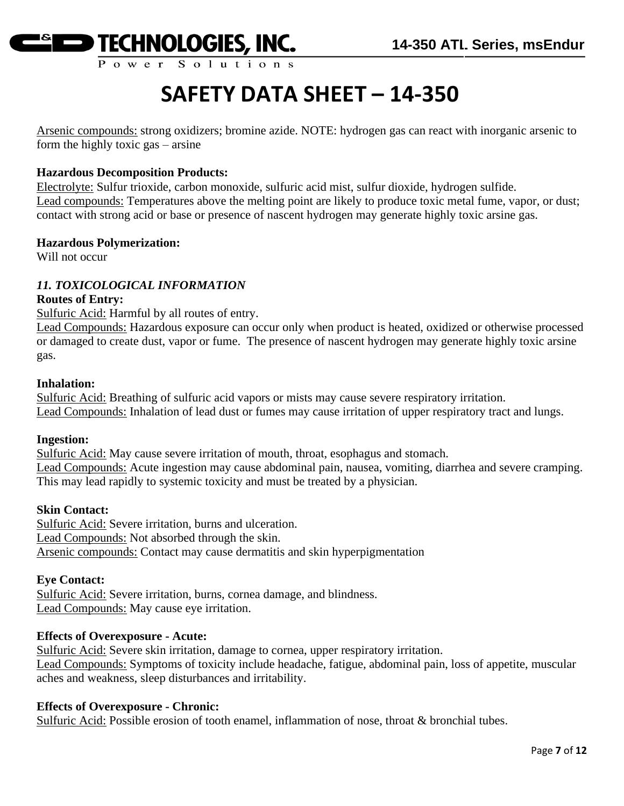

Arsenic compounds: strong oxidizers; bromine azide. NOTE: hydrogen gas can react with inorganic arsenic to form the highly toxic gas – arsine

#### **Hazardous Decomposition Products:**

Electrolyte: Sulfur trioxide, carbon monoxide, sulfuric acid mist, sulfur dioxide, hydrogen sulfide. Lead compounds: Temperatures above the melting point are likely to produce toxic metal fume, vapor, or dust; contact with strong acid or base or presence of nascent hydrogen may generate highly toxic arsine gas.

#### **Hazardous Polymerization:**

Will not occur

#### *11. TOXICOLOGICAL INFORMATION*

#### **Routes of Entry:**

Sulfuric Acid: Harmful by all routes of entry.

Lead Compounds: Hazardous exposure can occur only when product is heated, oxidized or otherwise processed or damaged to create dust, vapor or fume. The presence of nascent hydrogen may generate highly toxic arsine gas.

#### **Inhalation:**

Sulfuric Acid: Breathing of sulfuric acid vapors or mists may cause severe respiratory irritation. Lead Compounds: Inhalation of lead dust or fumes may cause irritation of upper respiratory tract and lungs.

#### **Ingestion:**

Sulfuric Acid: May cause severe irritation of mouth, throat, esophagus and stomach. Lead Compounds: Acute ingestion may cause abdominal pain, nausea, vomiting, diarrhea and severe cramping. This may lead rapidly to systemic toxicity and must be treated by a physician.

#### **Skin Contact:**

Sulfuric Acid: Severe irritation, burns and ulceration. Lead Compounds: Not absorbed through the skin. Arsenic compounds: Contact may cause dermatitis and skin hyperpigmentation

#### **Eye Contact:**

Sulfuric Acid: Severe irritation, burns, cornea damage, and blindness. Lead Compounds: May cause eye irritation.

#### **Effects of Overexposure - Acute:**

Sulfuric Acid: Severe skin irritation, damage to cornea, upper respiratory irritation. Lead Compounds: Symptoms of toxicity include headache, fatigue, abdominal pain, loss of appetite, muscular aches and weakness, sleep disturbances and irritability.

#### **Effects of Overexposure - Chronic:**

Sulfuric Acid: Possible erosion of tooth enamel, inflammation of nose, throat & bronchial tubes.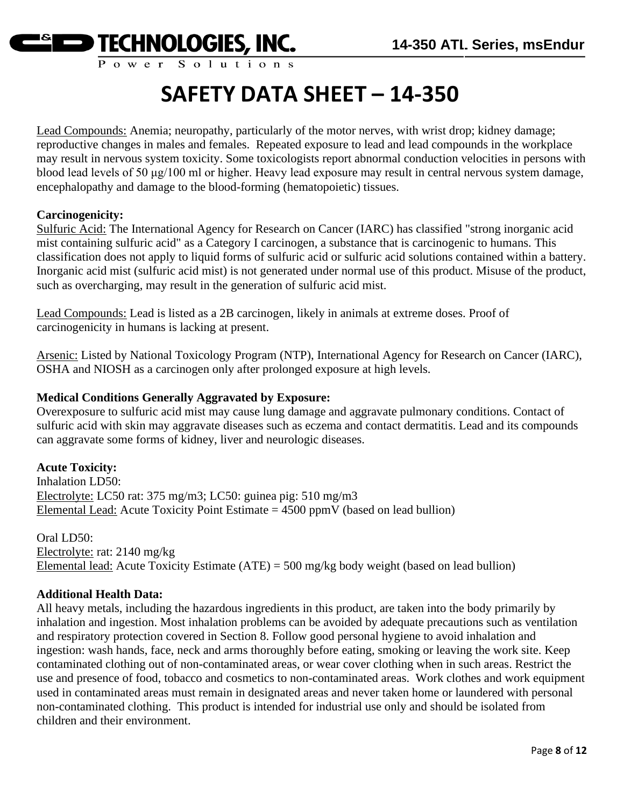

Lead Compounds: Anemia; neuropathy, particularly of the motor nerves, with wrist drop; kidney damage; reproductive changes in males and females. Repeated exposure to lead and lead compounds in the workplace may result in nervous system toxicity. Some toxicologists report abnormal conduction velocities in persons with blood lead levels of 50 μg/100 ml or higher. Heavy lead exposure may result in central nervous system damage, encephalopathy and damage to the blood-forming (hematopoietic) tissues.

#### **Carcinogenicity:**

Sulfuric Acid: The International Agency for Research on Cancer (IARC) has classified "strong inorganic acid mist containing sulfuric acid" as a Category I carcinogen, a substance that is carcinogenic to humans. This classification does not apply to liquid forms of sulfuric acid or sulfuric acid solutions contained within a battery. Inorganic acid mist (sulfuric acid mist) is not generated under normal use of this product. Misuse of the product, such as overcharging, may result in the generation of sulfuric acid mist.

Lead Compounds: Lead is listed as a 2B carcinogen, likely in animals at extreme doses. Proof of carcinogenicity in humans is lacking at present.

Arsenic: Listed by National Toxicology Program (NTP), International Agency for Research on Cancer (IARC), OSHA and NIOSH as a carcinogen only after prolonged exposure at high levels.

#### **Medical Conditions Generally Aggravated by Exposure:**

Overexposure to sulfuric acid mist may cause lung damage and aggravate pulmonary conditions. Contact of sulfuric acid with skin may aggravate diseases such as eczema and contact dermatitis. Lead and its compounds can aggravate some forms of kidney, liver and neurologic diseases.

#### **Acute Toxicity:**

Inhalation LD50: Electrolyte: LC50 rat: 375 mg/m3; LC50: guinea pig: 510 mg/m3 Elemental Lead: Acute Toxicity Point Estimate  $= 4500$  ppmV (based on lead bullion)

Oral LD50: Electrolyte: rat: 2140 mg/kg Elemental lead: Acute Toxicity Estimate (ATE) = 500 mg/kg body weight (based on lead bullion)

#### **Additional Health Data:**

All heavy metals, including the hazardous ingredients in this product, are taken into the body primarily by inhalation and ingestion. Most inhalation problems can be avoided by adequate precautions such as ventilation and respiratory protection covered in Section 8. Follow good personal hygiene to avoid inhalation and ingestion: wash hands, face, neck and arms thoroughly before eating, smoking or leaving the work site. Keep contaminated clothing out of non-contaminated areas, or wear cover clothing when in such areas. Restrict the use and presence of food, tobacco and cosmetics to non-contaminated areas. Work clothes and work equipment used in contaminated areas must remain in designated areas and never taken home or laundered with personal non-contaminated clothing. This product is intended for industrial use only and should be isolated from children and their environment.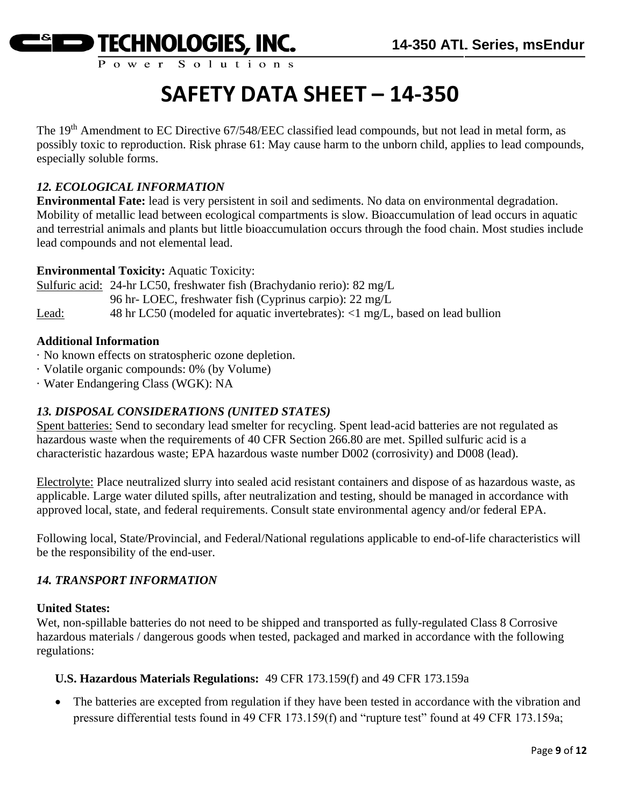

The 19<sup>th</sup> Amendment to EC Directive 67/548/EEC classified lead compounds, but not lead in metal form, as possibly toxic to reproduction. Risk phrase 61: May cause harm to the unborn child, applies to lead compounds, especially soluble forms.

#### *12. ECOLOGICAL INFORMATION*

**Environmental Fate:** lead is very persistent in soil and sediments. No data on environmental degradation. Mobility of metallic lead between ecological compartments is slow. Bioaccumulation of lead occurs in aquatic and terrestrial animals and plants but little bioaccumulation occurs through the food chain. Most studies include lead compounds and not elemental lead.

#### **Environmental Toxicity:** Aquatic Toxicity:

Sulfuric acid: 24-hr LC50, freshwater fish (Brachydanio rerio): 82 mg/L 96 hr- LOEC, freshwater fish (Cyprinus carpio): 22 mg/L Lead: 48 hr LC50 (modeled for aquatic invertebrates): <1 mg/L, based on lead bullion

#### **Additional Information**

- · No known effects on stratospheric ozone depletion.
- · Volatile organic compounds: 0% (by Volume)
- · Water Endangering Class (WGK): NA

#### *13. DISPOSAL CONSIDERATIONS (UNITED STATES)*

Spent batteries: Send to secondary lead smelter for recycling. Spent lead-acid batteries are not regulated as hazardous waste when the requirements of 40 CFR Section 266.80 are met. Spilled sulfuric acid is a characteristic hazardous waste; EPA hazardous waste number D002 (corrosivity) and D008 (lead).

Electrolyte: Place neutralized slurry into sealed acid resistant containers and dispose of as hazardous waste, as applicable. Large water diluted spills, after neutralization and testing, should be managed in accordance with approved local, state, and federal requirements. Consult state environmental agency and/or federal EPA.

Following local, State/Provincial, and Federal/National regulations applicable to end-of-life characteristics will be the responsibility of the end-user.

#### *14. TRANSPORT INFORMATION*

#### **United States:**

Wet, non-spillable batteries do not need to be shipped and transported as fully-regulated Class 8 Corrosive hazardous materials / dangerous goods when tested, packaged and marked in accordance with the following regulations:

#### **U.S. Hazardous Materials Regulations:** 49 CFR 173.159(f) and 49 CFR 173.159a

• The batteries are excepted from regulation if they have been tested in accordance with the vibration and pressure differential tests found in 49 CFR 173.159(f) and "rupture test" found at 49 CFR 173.159a;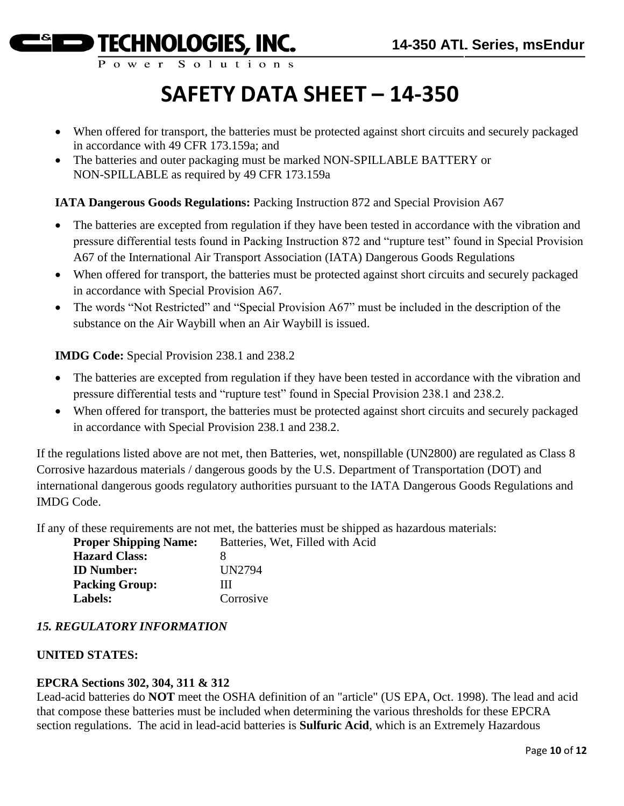Power Solution

# **SAFETY DATA SHEET – 14-350**

- When offered for transport, the batteries must be protected against short circuits and securely packaged in accordance with 49 CFR 173.159a; and
- The batteries and outer packaging must be marked NON-SPILLABLE BATTERY or NON-SPILLABLE as required by 49 CFR 173.159a

#### **IATA Dangerous Goods Regulations:** Packing Instruction 872 and Special Provision A67

- The batteries are excepted from regulation if they have been tested in accordance with the vibration and pressure differential tests found in Packing Instruction 872 and "rupture test" found in Special Provision A67 of the International Air Transport Association (IATA) Dangerous Goods Regulations
- When offered for transport, the batteries must be protected against short circuits and securely packaged in accordance with Special Provision A67.
- The words "Not Restricted" and "Special Provision A67" must be included in the description of the substance on the Air Waybill when an Air Waybill is issued.

#### **IMDG Code:** Special Provision 238.1 and 238.2

- The batteries are excepted from regulation if they have been tested in accordance with the vibration and pressure differential tests and "rupture test" found in Special Provision 238.1 and 238.2.
- When offered for transport, the batteries must be protected against short circuits and securely packaged in accordance with Special Provision 238.1 and 238.2.

If the regulations listed above are not met, then Batteries, wet, nonspillable (UN2800) are regulated as Class 8 Corrosive hazardous materials / dangerous goods by the U.S. Department of Transportation (DOT) and international dangerous goods regulatory authorities pursuant to the IATA Dangerous Goods Regulations and IMDG Code.

If any of these requirements are not met, the batteries must be shipped as hazardous materials:

| Batteries, Wet, Filled with Acid |
|----------------------------------|
|                                  |
| UN2794                           |
| ш                                |
| Corrosive                        |
|                                  |

#### *15. REGULATORY INFORMATION*

#### **UNITED STATES:**

#### **EPCRA Sections 302, 304, 311 & 312**

Lead-acid batteries do **NOT** meet the OSHA definition of an "article" (US EPA, Oct. 1998). The lead and acid that compose these batteries must be included when determining the various thresholds for these EPCRA section regulations. The acid in lead-acid batteries is **Sulfuric Acid**, which is an Extremely Hazardous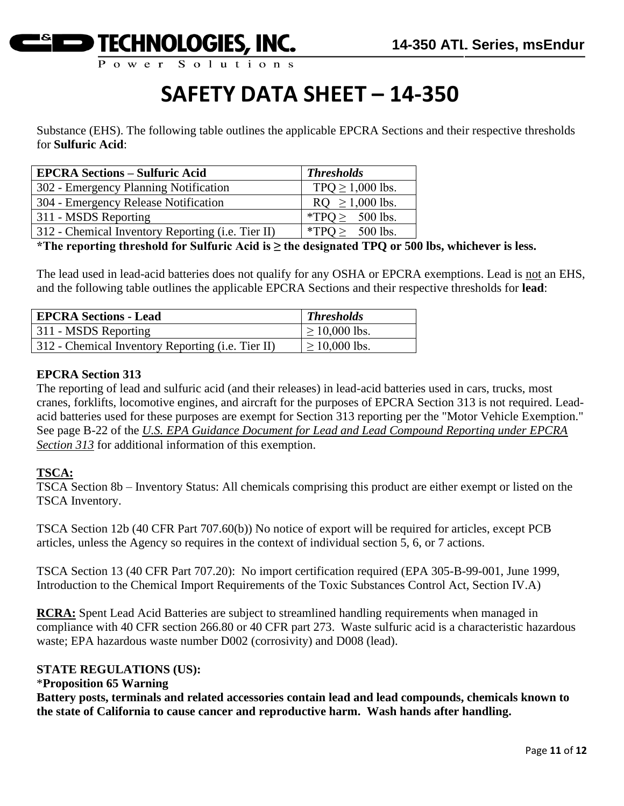

Substance (EHS). The following table outlines the applicable EPCRA Sections and their respective thresholds for **Sulfuric Acid**:

| <b>EPCRA Sections – Sulfuric Acid</b>             | <b>Thresholds</b>     |
|---------------------------------------------------|-----------------------|
| 302 - Emergency Planning Notification             | TPQ $\geq$ 1,000 lbs. |
| 304 - Emergency Release Notification              | $RQ \ge 1,000$ lbs.   |
| 311 - MSDS Reporting                              | *TPO $\geq$ 500 lbs.  |
| 312 - Chemical Inventory Reporting (i.e. Tier II) | *TPQ $\geq$ 500 lbs.  |

**\*The reporting threshold for Sulfuric Acid is ≥ the designated TPQ or 500 lbs, whichever is less.**

The lead used in lead-acid batteries does not qualify for any OSHA or EPCRA exemptions. Lead is not an EHS, and the following table outlines the applicable EPCRA Sections and their respective thresholds for **lead**:

| <b>EPCRA Sections - Lead</b>                      | <b>Thresholds</b>  |
|---------------------------------------------------|--------------------|
| 311 - MSDS Reporting                              | $\geq 10,000$ lbs. |
| 312 - Chemical Inventory Reporting (i.e. Tier II) | $\geq 10,000$ lbs. |

#### **EPCRA Section 313**

The reporting of lead and sulfuric acid (and their releases) in lead-acid batteries used in cars, trucks, most cranes, forklifts, locomotive engines, and aircraft for the purposes of EPCRA Section 313 is not required. Leadacid batteries used for these purposes are exempt for Section 313 reporting per the "Motor Vehicle Exemption." See page B-22 of the *U.S. EPA Guidance Document for Lead and Lead Compound Reporting under EPCRA Section 313* for additional information of this exemption.

#### **TSCA:**

TSCA Section 8b – Inventory Status: All chemicals comprising this product are either exempt or listed on the TSCA Inventory.

TSCA Section 12b (40 CFR Part 707.60(b)) No notice of export will be required for articles, except PCB articles, unless the Agency so requires in the context of individual section 5, 6, or 7 actions.

TSCA Section 13 (40 CFR Part 707.20): No import certification required (EPA 305-B-99-001, June 1999, Introduction to the Chemical Import Requirements of the Toxic Substances Control Act, Section IV.A)

**RCRA:** Spent Lead Acid Batteries are subject to streamlined handling requirements when managed in compliance with 40 CFR section 266.80 or 40 CFR part 273. Waste sulfuric acid is a characteristic hazardous waste; EPA hazardous waste number D002 (corrosivity) and D008 (lead).

#### **STATE REGULATIONS (US):**

#### \***Proposition 65 Warning**

**Battery posts, terminals and related accessories contain lead and lead compounds, chemicals known to the state of California to cause cancer and reproductive harm. Wash hands after handling.**